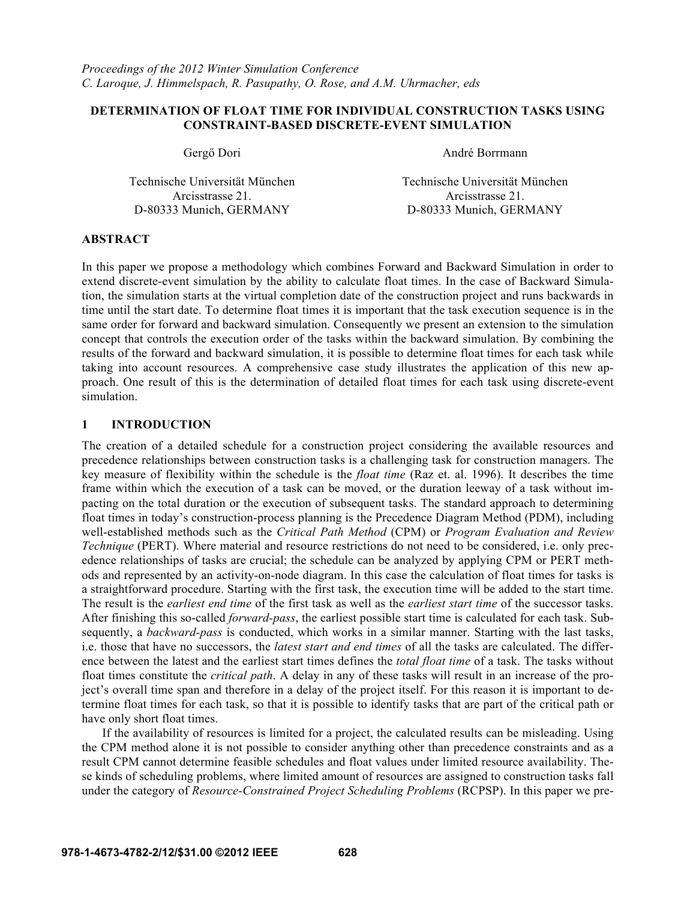# **DETERMINATION OF FLOAT TIME FOR INDIVIDUAL CONSTRUCTION TASKS USING CONSTRAINT-BASED DISCRETE-EVENT SIMULATION**

Gergő Dori André Borrmann

Technische Universität München Technische Universität München Arcisstrasse 21. Arcisstrasse 21. D-80333 Munich, GERMANY D-80333 Munich, GERMANY

## **ABSTRACT**

In this paper we propose a methodology which combines Forward and Backward Simulation in order to extend discrete-event simulation by the ability to calculate float times. In the case of Backward Simulation, the simulation starts at the virtual completion date of the construction project and runs backwards in time until the start date. To determine float times it is important that the task execution sequence is in the same order for forward and backward simulation. Consequently we present an extension to the simulation concept that controls the execution order of the tasks within the backward simulation. By combining the results of the forward and backward simulation, it is possible to determine float times for each task while taking into account resources. A comprehensive case study illustrates the application of this new approach. One result of this is the determination of detailed float times for each task using discrete-event simulation.

# **1 INTRODUCTION**

The creation of a detailed schedule for a construction project considering the available resources and precedence relationships between construction tasks is a challenging task for construction managers. The key measure of flexibility within the schedule is the *float time* (Raz et. al. 1996). It describes the time frame within which the execution of a task can be moved, or the duration leeway of a task without impacting on the total duration or the execution of subsequent tasks. The standard approach to determining float times in today's construction-process planning is the Precedence Diagram Method (PDM), including well-established methods such as the *Critical Path Method* (CPM) or *Program Evaluation and Review Technique* (PERT). Where material and resource restrictions do not need to be considered, i.e. only precedence relationships of tasks are crucial; the schedule can be analyzed by applying CPM or PERT methods and represented by an activity-on-node diagram. In this case the calculation of float times for tasks is a straightforward procedure. Starting with the first task, the execution time will be added to the start time. The result is the *earliest end time* of the first task as well as the *earliest start time* of the successor tasks. After finishing this so-called *forward-pass*, the earliest possible start time is calculated for each task. Subsequently, a *backward-pass* is conducted, which works in a similar manner. Starting with the last tasks, i.e. those that have no successors, the *latest start and end times* of all the tasks are calculated. The difference between the latest and the earliest start times defines the *total float time* of a task. The tasks without float times constitute the *critical path*. A delay in any of these tasks will result in an increase of the project's overall time span and therefore in a delay of the project itself. For this reason it is important to determine float times for each task, so that it is possible to identify tasks that are part of the critical path or have only short float times.

 If the availability of resources is limited for a project, the calculated results can be misleading. Using the CPM method alone it is not possible to consider anything other than precedence constraints and as a result CPM cannot determine feasible schedules and float values under limited resource availability. These kinds of scheduling problems, where limited amount of resources are assigned to construction tasks fall under the category of *Resource-Constrained Project Scheduling Problems* (RCPSP). In this paper we pre-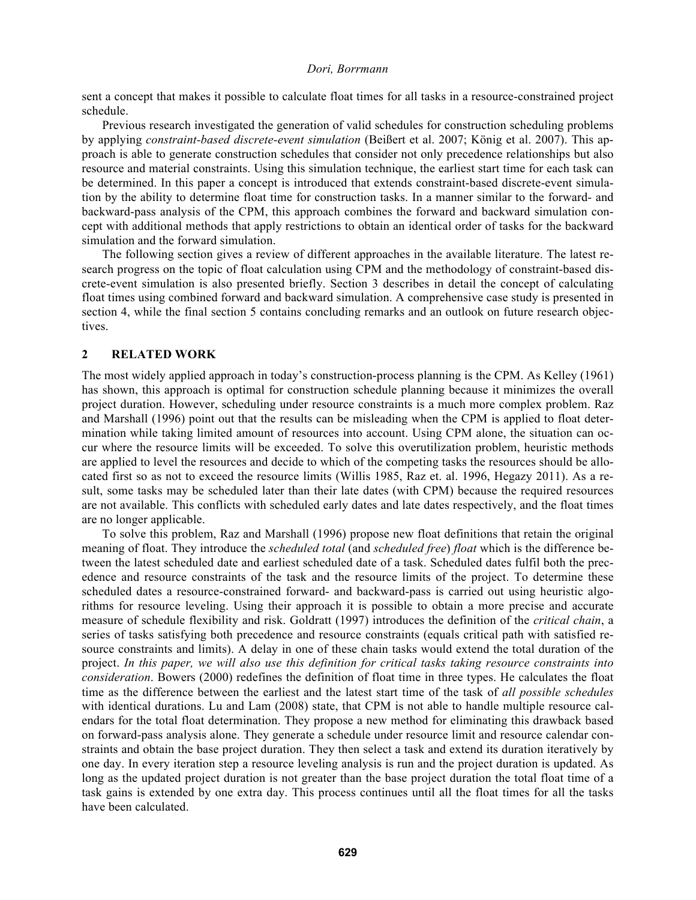sent a concept that makes it possible to calculate float times for all tasks in a resource-constrained project schedule.

 Previous research investigated the generation of valid schedules for construction scheduling problems by applying *constraint-based discrete-event simulation* (Beißert et al. 2007; König et al. 2007). This approach is able to generate construction schedules that consider not only precedence relationships but also resource and material constraints. Using this simulation technique, the earliest start time for each task can be determined. In this paper a concept is introduced that extends constraint-based discrete-event simulation by the ability to determine float time for construction tasks. In a manner similar to the forward- and backward-pass analysis of the CPM, this approach combines the forward and backward simulation concept with additional methods that apply restrictions to obtain an identical order of tasks for the backward simulation and the forward simulation.

 The following section gives a review of different approaches in the available literature. The latest research progress on the topic of float calculation using CPM and the methodology of constraint-based discrete-event simulation is also presented briefly. Section 3 describes in detail the concept of calculating float times using combined forward and backward simulation. A comprehensive case study is presented in section 4, while the final section 5 contains concluding remarks and an outlook on future research objectives.

### **2 RELATED WORK**

The most widely applied approach in today's construction-process planning is the CPM. As Kelley (1961) has shown, this approach is optimal for construction schedule planning because it minimizes the overall project duration. However, scheduling under resource constraints is a much more complex problem. Raz and Marshall (1996) point out that the results can be misleading when the CPM is applied to float determination while taking limited amount of resources into account. Using CPM alone, the situation can occur where the resource limits will be exceeded. To solve this overutilization problem, heuristic methods are applied to level the resources and decide to which of the competing tasks the resources should be allocated first so as not to exceed the resource limits (Willis 1985, Raz et. al. 1996, Hegazy 2011). As a result, some tasks may be scheduled later than their late dates (with CPM) because the required resources are not available. This conflicts with scheduled early dates and late dates respectively, and the float times are no longer applicable.

 To solve this problem, Raz and Marshall (1996) propose new float definitions that retain the original meaning of float. They introduce the *scheduled total* (and *scheduled free*) *float* which is the difference between the latest scheduled date and earliest scheduled date of a task. Scheduled dates fulfil both the precedence and resource constraints of the task and the resource limits of the project. To determine these scheduled dates a resource-constrained forward- and backward-pass is carried out using heuristic algorithms for resource leveling. Using their approach it is possible to obtain a more precise and accurate measure of schedule flexibility and risk. Goldratt (1997) introduces the definition of the *critical chain*, a series of tasks satisfying both precedence and resource constraints (equals critical path with satisfied resource constraints and limits). A delay in one of these chain tasks would extend the total duration of the project. *In this paper, we will also use this definition for critical tasks taking resource constraints into consideration*. Bowers (2000) redefines the definition of float time in three types. He calculates the float time as the difference between the earliest and the latest start time of the task of *all possible schedules* with identical durations. Lu and Lam (2008) state, that CPM is not able to handle multiple resource calendars for the total float determination. They propose a new method for eliminating this drawback based on forward-pass analysis alone. They generate a schedule under resource limit and resource calendar constraints and obtain the base project duration. They then select a task and extend its duration iteratively by one day. In every iteration step a resource leveling analysis is run and the project duration is updated. As long as the updated project duration is not greater than the base project duration the total float time of a task gains is extended by one extra day. This process continues until all the float times for all the tasks have been calculated.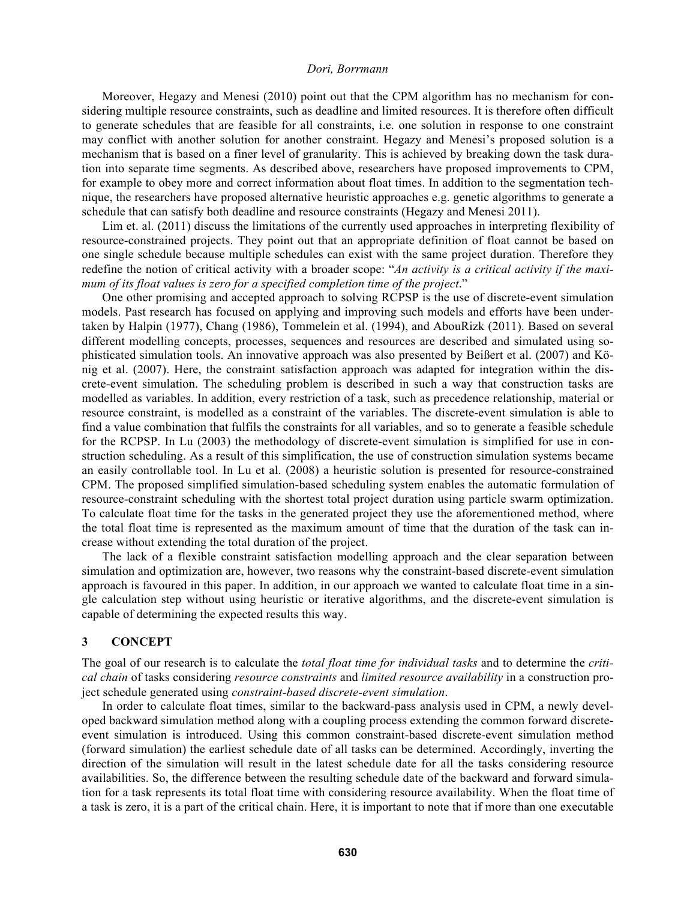Moreover, Hegazy and Menesi (2010) point out that the CPM algorithm has no mechanism for considering multiple resource constraints, such as deadline and limited resources. It is therefore often difficult to generate schedules that are feasible for all constraints, i.e. one solution in response to one constraint may conflict with another solution for another constraint. Hegazy and Menesi's proposed solution is a mechanism that is based on a finer level of granularity. This is achieved by breaking down the task duration into separate time segments. As described above, researchers have proposed improvements to CPM, for example to obey more and correct information about float times. In addition to the segmentation technique, the researchers have proposed alternative heuristic approaches e.g. genetic algorithms to generate a schedule that can satisfy both deadline and resource constraints (Hegazy and Menesi 2011).

 Lim et. al. (2011) discuss the limitations of the currently used approaches in interpreting flexibility of resource-constrained projects. They point out that an appropriate definition of float cannot be based on one single schedule because multiple schedules can exist with the same project duration. Therefore they redefine the notion of critical activity with a broader scope: "*An activity is a critical activity if the maximum of its float values is zero for a specified completion time of the project*."

One other promising and accepted approach to solving RCPSP is the use of discrete-event simulation models. Past research has focused on applying and improving such models and efforts have been undertaken by Halpin (1977), Chang (1986), Tommelein et al. (1994), and AbouRizk (2011). Based on several different modelling concepts, processes, sequences and resources are described and simulated using sophisticated simulation tools. An innovative approach was also presented by Beißert et al. (2007) and König et al. (2007). Here, the constraint satisfaction approach was adapted for integration within the discrete-event simulation. The scheduling problem is described in such a way that construction tasks are modelled as variables. In addition, every restriction of a task, such as precedence relationship, material or resource constraint, is modelled as a constraint of the variables. The discrete-event simulation is able to find a value combination that fulfils the constraints for all variables, and so to generate a feasible schedule for the RCPSP. In Lu (2003) the methodology of discrete-event simulation is simplified for use in construction scheduling. As a result of this simplification, the use of construction simulation systems became an easily controllable tool. In Lu et al. (2008) a heuristic solution is presented for resource-constrained CPM. The proposed simplified simulation-based scheduling system enables the automatic formulation of resource-constraint scheduling with the shortest total project duration using particle swarm optimization. To calculate float time for the tasks in the generated project they use the aforementioned method, where the total float time is represented as the maximum amount of time that the duration of the task can increase without extending the total duration of the project.

The lack of a flexible constraint satisfaction modelling approach and the clear separation between simulation and optimization are, however, two reasons why the constraint-based discrete-event simulation approach is favoured in this paper. In addition, in our approach we wanted to calculate float time in a single calculation step without using heuristic or iterative algorithms, and the discrete-event simulation is capable of determining the expected results this way.

#### **3 CONCEPT**

The goal of our research is to calculate the *total float time for individual tasks* and to determine the *critical chain* of tasks considering *resource constraints* and *limited resource availability* in a construction project schedule generated using *constraint-based discrete-event simulation*.

In order to calculate float times, similar to the backward-pass analysis used in CPM, a newly developed backward simulation method along with a coupling process extending the common forward discreteevent simulation is introduced. Using this common constraint-based discrete-event simulation method (forward simulation) the earliest schedule date of all tasks can be determined. Accordingly, inverting the direction of the simulation will result in the latest schedule date for all the tasks considering resource availabilities. So, the difference between the resulting schedule date of the backward and forward simulation for a task represents its total float time with considering resource availability. When the float time of a task is zero, it is a part of the critical chain. Here, it is important to note that if more than one executable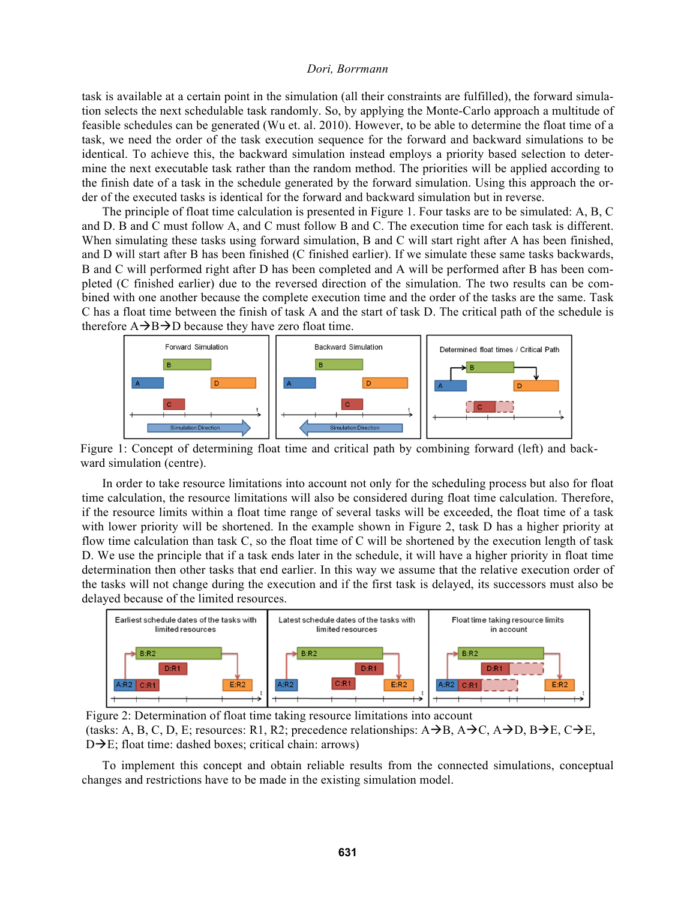task is available at a certain point in the simulation (all their constraints are fulfilled), the forward simulation selects the next schedulable task randomly. So, by applying the Monte-Carlo approach a multitude of feasible schedules can be generated (Wu et. al. 2010). However, to be able to determine the float time of a task, we need the order of the task execution sequence for the forward and backward simulations to be identical. To achieve this, the backward simulation instead employs a priority based selection to determine the next executable task rather than the random method. The priorities will be applied according to the finish date of a task in the schedule generated by the forward simulation. Using this approach the order of the executed tasks is identical for the forward and backward simulation but in reverse.

The principle of float time calculation is presented in Figure 1. Four tasks are to be simulated: A, B, C and D. B and C must follow A, and C must follow B and C. The execution time for each task is different. When simulating these tasks using forward simulation, B and C will start right after A has been finished, and D will start after B has been finished (C finished earlier). If we simulate these same tasks backwards, B and C will performed right after D has been completed and A will be performed after B has been completed (C finished earlier) due to the reversed direction of the simulation. The two results can be combined with one another because the complete execution time and the order of the tasks are the same. Task C has a float time between the finish of task A and the start of task D. The critical path of the schedule is therefore  $A \rightarrow B \rightarrow D$  because they have zero float time.



Figure 1: Concept of determining float time and critical path by combining forward (left) and backward simulation (centre).

 In order to take resource limitations into account not only for the scheduling process but also for float time calculation, the resource limitations will also be considered during float time calculation. Therefore, if the resource limits within a float time range of several tasks will be exceeded, the float time of a task with lower priority will be shortened. In the example shown in Figure 2, task D has a higher priority at flow time calculation than task C, so the float time of C will be shortened by the execution length of task D. We use the principle that if a task ends later in the schedule, it will have a higher priority in float time determination then other tasks that end earlier. In this way we assume that the relative execution order of the tasks will not change during the execution and if the first task is delayed, its successors must also be delayed because of the limited resources.



Figure 2: Determination of float time taking resource limitations into account (tasks: A, B, C, D, E; resources: R1, R2; precedence relationships:  $A \rightarrow B$ ,  $A \rightarrow C$ ,  $A \rightarrow D$ ,  $B \rightarrow E$ ,  $C \rightarrow E$ ,  $D\rightarrow E$ ; float time: dashed boxes; critical chain: arrows)

 To implement this concept and obtain reliable results from the connected simulations, conceptual changes and restrictions have to be made in the existing simulation model.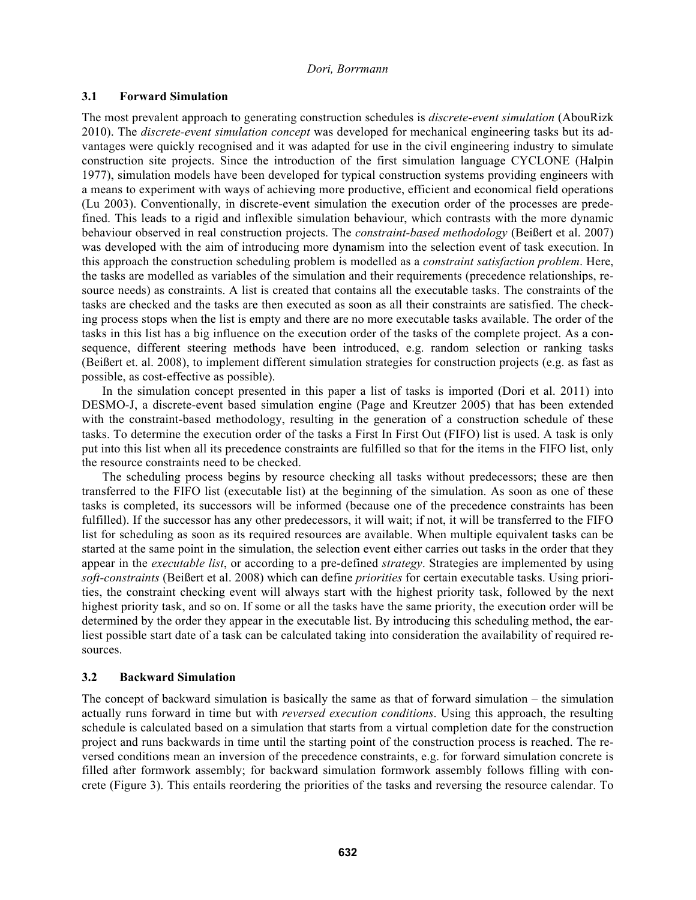### **3.1 Forward Simulation**

The most prevalent approach to generating construction schedules is *discrete-event simulation* (AbouRizk 2010). The *discrete-event simulation concept* was developed for mechanical engineering tasks but its advantages were quickly recognised and it was adapted for use in the civil engineering industry to simulate construction site projects. Since the introduction of the first simulation language CYCLONE (Halpin 1977), simulation models have been developed for typical construction systems providing engineers with a means to experiment with ways of achieving more productive, efficient and economical field operations (Lu 2003). Conventionally, in discrete-event simulation the execution order of the processes are predefined. This leads to a rigid and inflexible simulation behaviour, which contrasts with the more dynamic behaviour observed in real construction projects. The *constraint-based methodology* (Beißert et al. 2007) was developed with the aim of introducing more dynamism into the selection event of task execution. In this approach the construction scheduling problem is modelled as a *constraint satisfaction problem*. Here, the tasks are modelled as variables of the simulation and their requirements (precedence relationships, resource needs) as constraints. A list is created that contains all the executable tasks. The constraints of the tasks are checked and the tasks are then executed as soon as all their constraints are satisfied. The checking process stops when the list is empty and there are no more executable tasks available. The order of the tasks in this list has a big influence on the execution order of the tasks of the complete project. As a consequence, different steering methods have been introduced, e.g. random selection or ranking tasks (Beißert et. al. 2008), to implement different simulation strategies for construction projects (e.g. as fast as possible, as cost-effective as possible).

 In the simulation concept presented in this paper a list of tasks is imported (Dori et al. 2011) into DESMO-J, a discrete-event based simulation engine (Page and Kreutzer 2005) that has been extended with the constraint-based methodology, resulting in the generation of a construction schedule of these tasks. To determine the execution order of the tasks a First In First Out (FIFO) list is used. A task is only put into this list when all its precedence constraints are fulfilled so that for the items in the FIFO list, only the resource constraints need to be checked.

 The scheduling process begins by resource checking all tasks without predecessors; these are then transferred to the FIFO list (executable list) at the beginning of the simulation. As soon as one of these tasks is completed, its successors will be informed (because one of the precedence constraints has been fulfilled). If the successor has any other predecessors, it will wait; if not, it will be transferred to the FIFO list for scheduling as soon as its required resources are available. When multiple equivalent tasks can be started at the same point in the simulation, the selection event either carries out tasks in the order that they appear in the *executable list*, or according to a pre-defined *strategy*. Strategies are implemented by using *soft-constraints* (Beißert et al. 2008) which can define *priorities* for certain executable tasks. Using priorities, the constraint checking event will always start with the highest priority task, followed by the next highest priority task, and so on. If some or all the tasks have the same priority, the execution order will be determined by the order they appear in the executable list. By introducing this scheduling method, the earliest possible start date of a task can be calculated taking into consideration the availability of required resources.

## **3.2 Backward Simulation**

The concept of backward simulation is basically the same as that of forward simulation – the simulation actually runs forward in time but with *reversed execution conditions*. Using this approach, the resulting schedule is calculated based on a simulation that starts from a virtual completion date for the construction project and runs backwards in time until the starting point of the construction process is reached. The reversed conditions mean an inversion of the precedence constraints, e.g. for forward simulation concrete is filled after formwork assembly; for backward simulation formwork assembly follows filling with concrete (Figure 3). This entails reordering the priorities of the tasks and reversing the resource calendar. To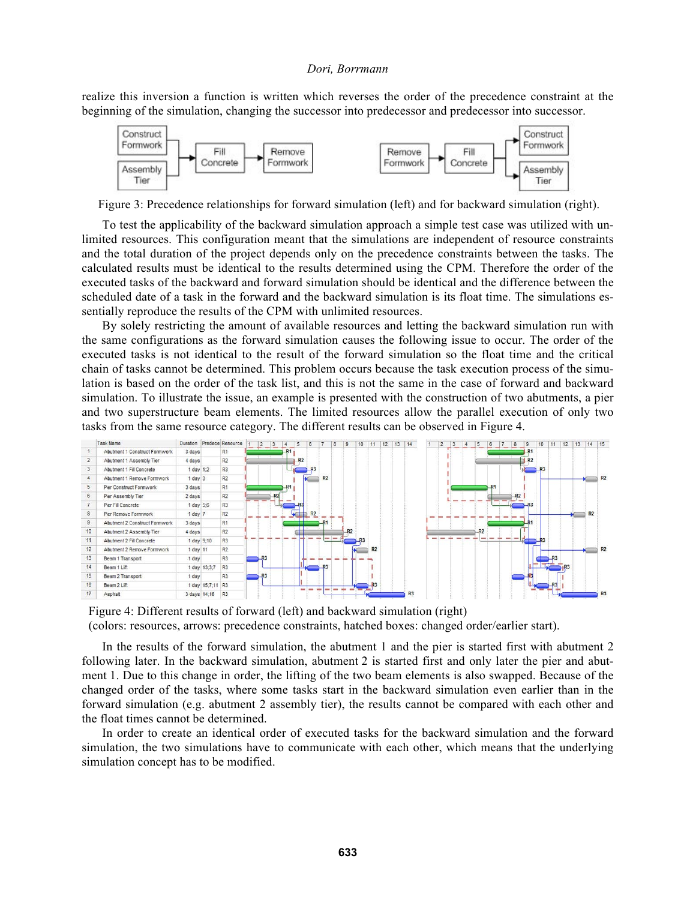realize this inversion a function is written which reverses the order of the precedence constraint at the beginning of the simulation, changing the successor into predecessor and predecessor into successor.



Figure 3: Precedence relationships for forward simulation (left) and for backward simulation (right).

 To test the applicability of the backward simulation approach a simple test case was utilized with unlimited resources. This configuration meant that the simulations are independent of resource constraints and the total duration of the project depends only on the precedence constraints between the tasks. The calculated results must be identical to the results determined using the CPM. Therefore the order of the executed tasks of the backward and forward simulation should be identical and the difference between the scheduled date of a task in the forward and the backward simulation is its float time. The simulations essentially reproduce the results of the CPM with unlimited resources.

 By solely restricting the amount of available resources and letting the backward simulation run with the same configurations as the forward simulation causes the following issue to occur. The order of the executed tasks is not identical to the result of the forward simulation so the float time and the critical chain of tasks cannot be determined. This problem occurs because the task execution process of the simulation is based on the order of the task list, and this is not the same in the case of forward and backward simulation. To illustrate the issue, an example is presented with the construction of two abutments, a pier and two superstructure beam elements. The limited resources allow the parallel execution of only two tasks from the same resource category. The different results can be observed in Figure 4.



Figure 4: Different results of forward (left) and backward simulation (right) (colors: resources, arrows: precedence constraints, hatched boxes: changed order/earlier start).

In the results of the forward simulation, the abutment 1 and the pier is started first with abutment 2 following later. In the backward simulation, abutment 2 is started first and only later the pier and abutment 1. Due to this change in order, the lifting of the two beam elements is also swapped. Because of the changed order of the tasks, where some tasks start in the backward simulation even earlier than in the forward simulation (e.g. abutment 2 assembly tier), the results cannot be compared with each other and the float times cannot be determined.

 In order to create an identical order of executed tasks for the backward simulation and the forward simulation, the two simulations have to communicate with each other, which means that the underlying simulation concept has to be modified.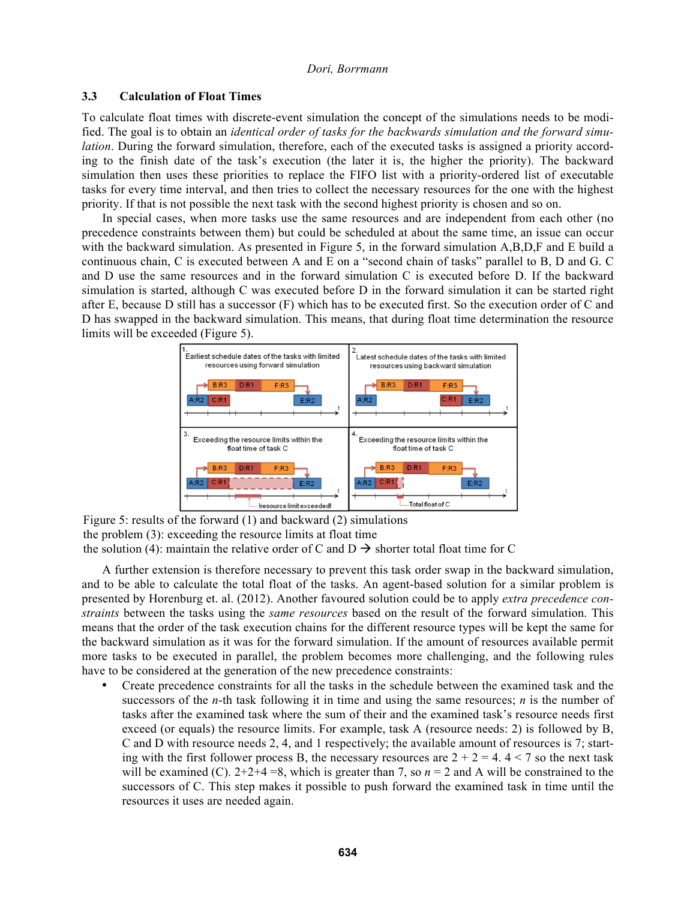### **3.3 Calculation of Float Times**

To calculate float times with discrete-event simulation the concept of the simulations needs to be modified. The goal is to obtain an *identical order of tasks for the backwards simulation and the forward simulation*. During the forward simulation, therefore, each of the executed tasks is assigned a priority according to the finish date of the task's execution (the later it is, the higher the priority). The backward simulation then uses these priorities to replace the FIFO list with a priority-ordered list of executable tasks for every time interval, and then tries to collect the necessary resources for the one with the highest priority. If that is not possible the next task with the second highest priority is chosen and so on.

 In special cases, when more tasks use the same resources and are independent from each other (no precedence constraints between them) but could be scheduled at about the same time, an issue can occur with the backward simulation. As presented in Figure 5, in the forward simulation A,B,D,F and E build a continuous chain, C is executed between A and E on a "second chain of tasks" parallel to B, D and G. C and D use the same resources and in the forward simulation C is executed before D. If the backward simulation is started, although C was executed before D in the forward simulation it can be started right after E, because D still has a successor (F) which has to be executed first. So the execution order of C and D has swapped in the backward simulation. This means, that during float time determination the resource limits will be exceeded (Figure 5).



Figure 5: results of the forward (1) and backward (2) simulations the problem (3): exceeding the resource limits at float time the solution (4): maintain the relative order of C and  $D \rightarrow$  shorter total float time for C

A further extension is therefore necessary to prevent this task order swap in the backward simulation, and to be able to calculate the total float of the tasks. An agent-based solution for a similar problem is presented by Horenburg et. al. (2012). Another favoured solution could be to apply *extra precedence constraints* between the tasks using the *same resources* based on the result of the forward simulation. This means that the order of the task execution chains for the different resource types will be kept the same for the backward simulation as it was for the forward simulation. If the amount of resources available permit more tasks to be executed in parallel, the problem becomes more challenging, and the following rules have to be considered at the generation of the new precedence constraints:

• Create precedence constraints for all the tasks in the schedule between the examined task and the successors of the *n*-th task following it in time and using the same resources; *n* is the number of tasks after the examined task where the sum of their and the examined task's resource needs first exceed (or equals) the resource limits. For example, task A (resource needs: 2) is followed by B, C and D with resource needs 2, 4, and 1 respectively; the available amount of resources is 7; starting with the first follower process B, the necessary resources are  $2 + 2 = 4$ .  $4 < 7$  so the next task will be examined (C).  $2+2+4=8$ , which is greater than 7, so  $n=2$  and A will be constrained to the successors of C. This step makes it possible to push forward the examined task in time until the resources it uses are needed again.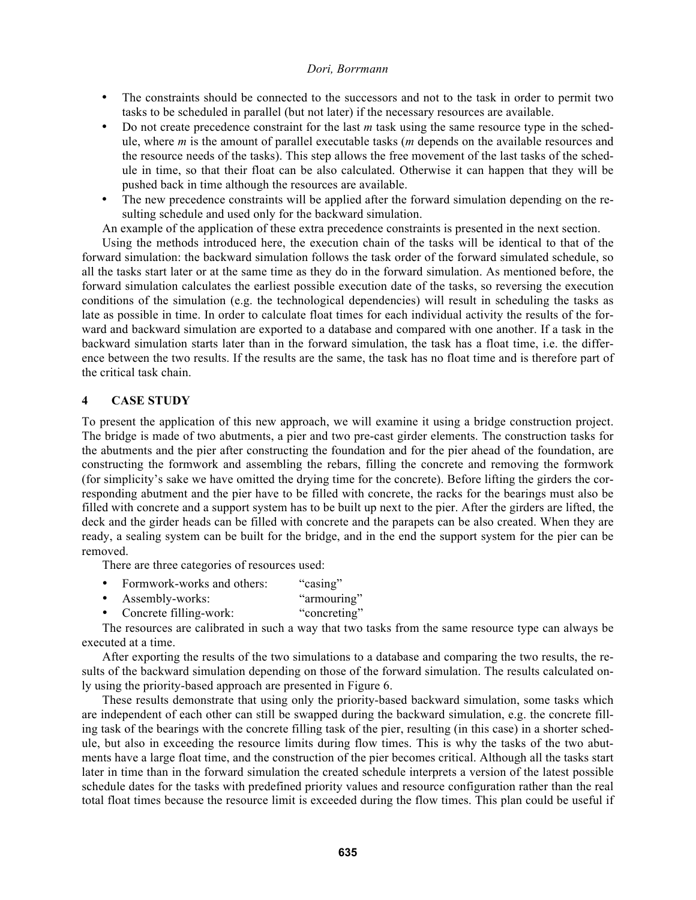- The constraints should be connected to the successors and not to the task in order to permit two tasks to be scheduled in parallel (but not later) if the necessary resources are available.
- Do not create precedence constraint for the last *m* task using the same resource type in the schedule, where *m* is the amount of parallel executable tasks (*m* depends on the available resources and the resource needs of the tasks). This step allows the free movement of the last tasks of the schedule in time, so that their float can be also calculated. Otherwise it can happen that they will be pushed back in time although the resources are available.
- The new precedence constraints will be applied after the forward simulation depending on the resulting schedule and used only for the backward simulation.

An example of the application of these extra precedence constraints is presented in the next section.

 Using the methods introduced here, the execution chain of the tasks will be identical to that of the forward simulation: the backward simulation follows the task order of the forward simulated schedule, so all the tasks start later or at the same time as they do in the forward simulation. As mentioned before, the forward simulation calculates the earliest possible execution date of the tasks, so reversing the execution conditions of the simulation (e.g. the technological dependencies) will result in scheduling the tasks as late as possible in time. In order to calculate float times for each individual activity the results of the forward and backward simulation are exported to a database and compared with one another. If a task in the backward simulation starts later than in the forward simulation, the task has a float time, i.e. the difference between the two results. If the results are the same, the task has no float time and is therefore part of the critical task chain.

## **4 CASE STUDY**

To present the application of this new approach, we will examine it using a bridge construction project. The bridge is made of two abutments, a pier and two pre-cast girder elements. The construction tasks for the abutments and the pier after constructing the foundation and for the pier ahead of the foundation, are constructing the formwork and assembling the rebars, filling the concrete and removing the formwork (for simplicity's sake we have omitted the drying time for the concrete). Before lifting the girders the corresponding abutment and the pier have to be filled with concrete, the racks for the bearings must also be filled with concrete and a support system has to be built up next to the pier. After the girders are lifted, the deck and the girder heads can be filled with concrete and the parapets can be also created. When they are ready, a sealing system can be built for the bridge, and in the end the support system for the pier can be removed.

There are three categories of resources used:

- Formwork-works and others: "casing"
- 
- Assembly-works: "armouring"<br>Concrete filling-work: "concreting" Concrete filling-work:

 The resources are calibrated in such a way that two tasks from the same resource type can always be executed at a time.

After exporting the results of the two simulations to a database and comparing the two results, the results of the backward simulation depending on those of the forward simulation. The results calculated only using the priority-based approach are presented in Figure 6.

 These results demonstrate that using only the priority-based backward simulation, some tasks which are independent of each other can still be swapped during the backward simulation, e.g. the concrete filling task of the bearings with the concrete filling task of the pier, resulting (in this case) in a shorter schedule, but also in exceeding the resource limits during flow times. This is why the tasks of the two abutments have a large float time, and the construction of the pier becomes critical. Although all the tasks start later in time than in the forward simulation the created schedule interprets a version of the latest possible schedule dates for the tasks with predefined priority values and resource configuration rather than the real total float times because the resource limit is exceeded during the flow times. This plan could be useful if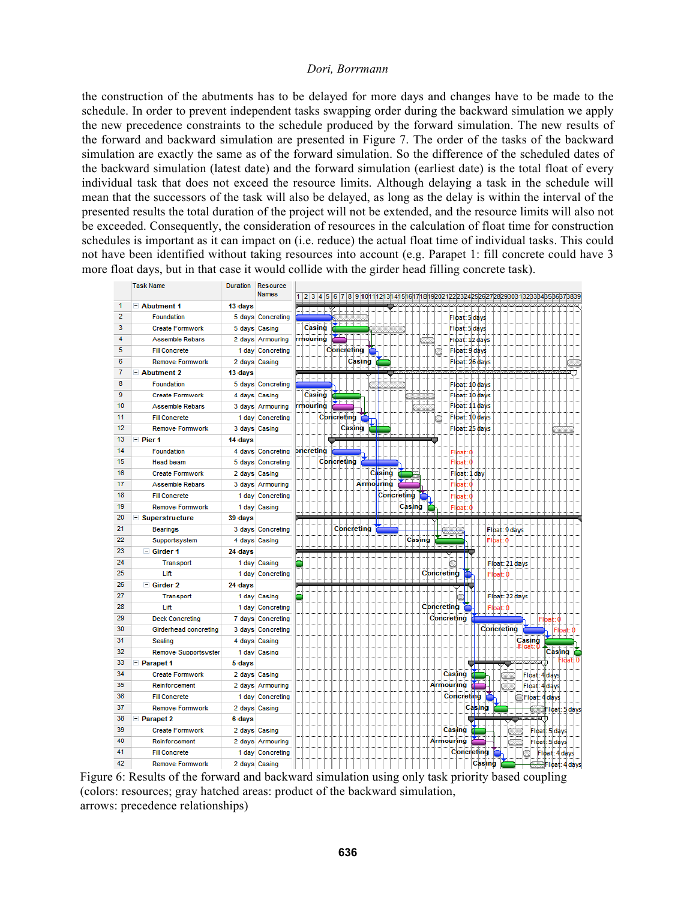the construction of the abutments has to be delayed for more days and changes have to be made to the schedule. In order to prevent independent tasks swapping order during the backward simulation we apply the new precedence constraints to the schedule produced by the forward simulation. The new results of the forward and backward simulation are presented in Figure 7. The order of the tasks of the backward simulation are exactly the same as of the forward simulation. So the difference of the scheduled dates of the backward simulation (latest date) and the forward simulation (earliest date) is the total float of every individual task that does not exceed the resource limits. Although delaying a task in the schedule will mean that the successors of the task will also be delayed, as long as the delay is within the interval of the presented results the total duration of the project will not be extended, and the resource limits will also not be exceeded. Consequently, the consideration of resources in the calculation of float time for construction schedules is important as it can impact on (i.e. reduce) the actual float time of individual tasks. This could not have been identified without taking resources into account (e.g. Parapet 1: fill concrete could have 3 more float days, but in that case it would collide with the girder head filling concrete task).



Figure 6: Results of the forward and backward simulation using only task priority based coupling (colors: resources; gray hatched areas: product of the backward simulation, arrows: precedence relationships)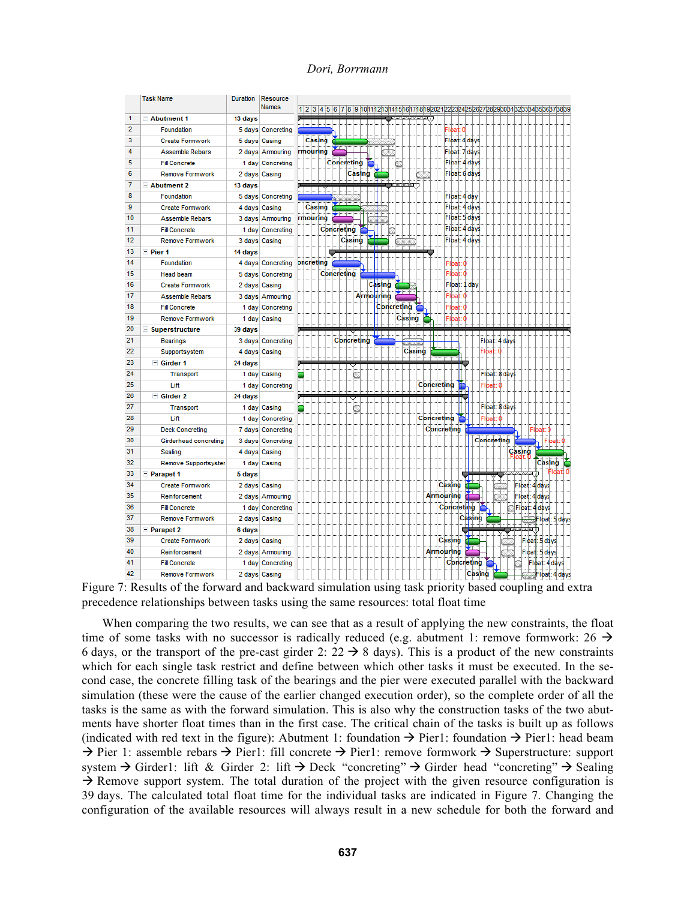

Figure 7: Results of the forward and backward simulation using task priority based coupling and extra precedence relationships between tasks using the same resources: total float time

When comparing the two results, we can see that as a result of applying the new constraints, the float time of some tasks with no successor is radically reduced (e.g. abutment 1: remove formwork:  $26 \rightarrow$ 6 days, or the transport of the pre-cast girder 2:  $22 \rightarrow 8$  days). This is a product of the new constraints which for each single task restrict and define between which other tasks it must be executed. In the second case, the concrete filling task of the bearings and the pier were executed parallel with the backward simulation (these were the cause of the earlier changed execution order), so the complete order of all the tasks is the same as with the forward simulation. This is also why the construction tasks of the two abutments have shorter float times than in the first case. The critical chain of the tasks is built up as follows (indicated with red text in the figure): Abutment 1: foundation  $\rightarrow$  Pier1: foundation  $\rightarrow$  Pier1: head beam  $\rightarrow$  Pier 1: assemble rebars  $\rightarrow$  Pier1: fill concrete  $\rightarrow$  Pier1: remove formwork  $\rightarrow$  Superstructure: support system  $\rightarrow$  Girder1: lift & Girder 2: lift  $\rightarrow$  Deck "concreting"  $\rightarrow$  Girder head "concreting"  $\rightarrow$  Sealing  $\rightarrow$  Remove support system. The total duration of the project with the given resource configuration is 39 days. The calculated total float time for the individual tasks are indicated in Figure 7. Changing the configuration of the available resources will always result in a new schedule for both the forward and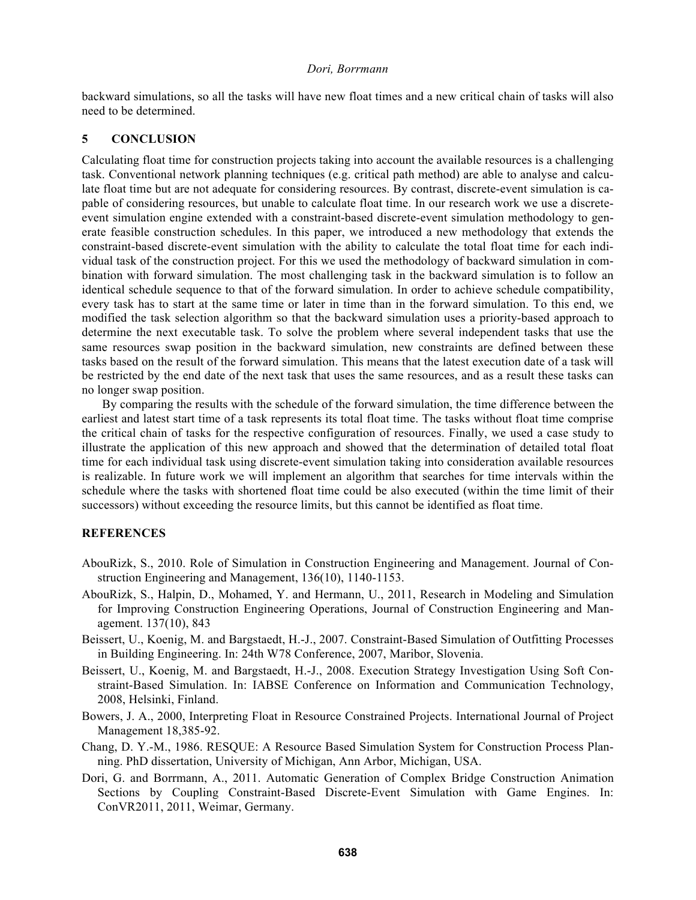backward simulations, so all the tasks will have new float times and a new critical chain of tasks will also need to be determined.

### **5 CONCLUSION**

Calculating float time for construction projects taking into account the available resources is a challenging task. Conventional network planning techniques (e.g. critical path method) are able to analyse and calculate float time but are not adequate for considering resources. By contrast, discrete-event simulation is capable of considering resources, but unable to calculate float time. In our research work we use a discreteevent simulation engine extended with a constraint-based discrete-event simulation methodology to generate feasible construction schedules. In this paper, we introduced a new methodology that extends the constraint-based discrete-event simulation with the ability to calculate the total float time for each individual task of the construction project. For this we used the methodology of backward simulation in combination with forward simulation. The most challenging task in the backward simulation is to follow an identical schedule sequence to that of the forward simulation. In order to achieve schedule compatibility, every task has to start at the same time or later in time than in the forward simulation. To this end, we modified the task selection algorithm so that the backward simulation uses a priority-based approach to determine the next executable task. To solve the problem where several independent tasks that use the same resources swap position in the backward simulation, new constraints are defined between these tasks based on the result of the forward simulation. This means that the latest execution date of a task will be restricted by the end date of the next task that uses the same resources, and as a result these tasks can no longer swap position.

 By comparing the results with the schedule of the forward simulation, the time difference between the earliest and latest start time of a task represents its total float time. The tasks without float time comprise the critical chain of tasks for the respective configuration of resources. Finally, we used a case study to illustrate the application of this new approach and showed that the determination of detailed total float time for each individual task using discrete-event simulation taking into consideration available resources is realizable. In future work we will implement an algorithm that searches for time intervals within the schedule where the tasks with shortened float time could be also executed (within the time limit of their successors) without exceeding the resource limits, but this cannot be identified as float time.

# **REFERENCES**

- AbouRizk, S., 2010. Role of Simulation in Construction Engineering and Management. Journal of Construction Engineering and Management, 136(10), 1140-1153.
- AbouRizk, S., Halpin, D., Mohamed, Y. and Hermann, U., 2011, Research in Modeling and Simulation for Improving Construction Engineering Operations, Journal of Construction Engineering and Management. 137(10), 843
- Beissert, U., Koenig, M. and Bargstaedt, H.-J., 2007. Constraint-Based Simulation of Outfitting Processes in Building Engineering. In: 24th W78 Conference, 2007, Maribor, Slovenia.
- Beissert, U., Koenig, M. and Bargstaedt, H.-J., 2008. Execution Strategy Investigation Using Soft Constraint-Based Simulation. In: IABSE Conference on Information and Communication Technology, 2008, Helsinki, Finland.
- Bowers, J. A., 2000, Interpreting Float in Resource Constrained Projects. International Journal of Project Management 18,385-92.
- Chang, D. Y.-M., 1986. RESQUE: A Resource Based Simulation System for Construction Process Planning. PhD dissertation, University of Michigan, Ann Arbor, Michigan, USA.
- Dori, G. and Borrmann, A., 2011. Automatic Generation of Complex Bridge Construction Animation Sections by Coupling Constraint-Based Discrete-Event Simulation with Game Engines. In: ConVR2011, 2011, Weimar, Germany.